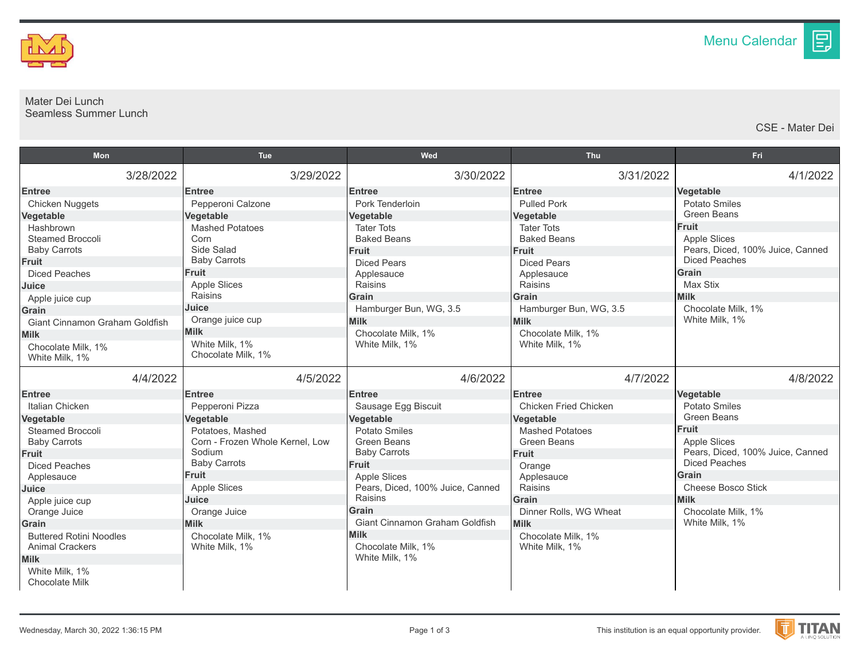

## Mater Dei Lunch Seamless Summer Lunch

CSE - Mater Dei

目

| <b>Mon</b>                              | Tue                                  | Wed                                         | <b>Thu</b>                            | Fri                                  |
|-----------------------------------------|--------------------------------------|---------------------------------------------|---------------------------------------|--------------------------------------|
| 3/28/2022                               | 3/29/2022                            | 3/30/2022                                   | 3/31/2022                             | 4/1/2022                             |
| <b>Entree</b>                           | <b>Entree</b>                        | <b>Entree</b>                               | <b>Entree</b>                         | Vegetable                            |
| Chicken Nuggets                         | Pepperoni Calzone                    | Pork Tenderloin                             | <b>Pulled Pork</b>                    | Potato Smiles                        |
| Vegetable                               | Vegetable                            | Vegetable                                   | Vegetable                             | Green Beans                          |
| Hashbrown                               | <b>Mashed Potatoes</b>               | <b>Tater Tots</b>                           | <b>Tater Tots</b>                     | <b>Fruit</b>                         |
| <b>Steamed Broccoli</b>                 | Corn                                 | <b>Baked Beans</b>                          | <b>Baked Beans</b>                    | <b>Apple Slices</b>                  |
| <b>Baby Carrots</b>                     | Side Salad                           | <b>Fruit</b>                                | Fruit                                 | Pears, Diced, 100% Juice, Canned     |
| <b>Fruit</b>                            | <b>Baby Carrots</b>                  | <b>Diced Pears</b>                          | <b>Diced Pears</b>                    | <b>Diced Peaches</b>                 |
| <b>Diced Peaches</b>                    | <b>Fruit</b>                         | Applesauce                                  | Applesauce                            | Grain                                |
| Juice                                   | <b>Apple Slices</b>                  | Raisins                                     | Raisins                               | Max Stix                             |
| Apple juice cup                         | Raisins<br>Juice                     | Grain                                       | <b>Grain</b>                          | <b>Milk</b>                          |
| Grain                                   |                                      | Hamburger Bun, WG, 3.5                      | Hamburger Bun, WG, 3.5                | Chocolate Milk. 1%<br>White Milk, 1% |
| Giant Cinnamon Graham Goldfish          | Orange juice cup<br><b>Milk</b>      | <b>Milk</b>                                 | <b>Milk</b>                           |                                      |
| <b>Milk</b>                             |                                      | Chocolate Milk, 1%                          | Chocolate Milk, 1%                    |                                      |
| Chocolate Milk. 1%                      | White Milk, 1%<br>Chocolate Milk, 1% | White Milk, 1%                              | White Milk, 1%                        |                                      |
| White Milk, 1%                          |                                      |                                             |                                       |                                      |
| 4/4/2022                                | 4/5/2022                             | 4/6/2022                                    | 4/7/2022                              | 4/8/2022                             |
| <b>Entree</b>                           | <b>Entree</b>                        | <b>Entree</b>                               | <b>Entree</b>                         | Vegetable                            |
| Italian Chicken                         | Pepperoni Pizza                      | Sausage Egg Biscuit                         | <b>Chicken Fried Chicken</b>          | <b>Potato Smiles</b>                 |
| Vegetable                               | Vegetable                            | Vegetable                                   | Vegetable                             | <b>Green Beans</b>                   |
| <b>Steamed Broccoli</b>                 | Potatoes, Mashed                     | <b>Potato Smiles</b>                        | <b>Mashed Potatoes</b>                | <b>Fruit</b>                         |
| <b>Baby Carrots</b>                     | Corn - Frozen Whole Kernel, Low      | <b>Green Beans</b>                          | <b>Green Beans</b>                    | <b>Apple Slices</b>                  |
| Fruit                                   | Sodium                               | <b>Baby Carrots</b>                         | <b>Fruit</b>                          | Pears, Diced, 100% Juice, Canned     |
| <b>Diced Peaches</b>                    | <b>Baby Carrots</b>                  | Fruit                                       | Orange                                | <b>Diced Peaches</b>                 |
| Applesauce                              | <b>Fruit</b>                         | <b>Apple Slices</b>                         | Applesauce                            | Grain<br>Cheese Bosco Stick          |
| Juice                                   | Apple Slices                         | Pears, Diced, 100% Juice, Canned<br>Raisins | Raisins                               | <b>Milk</b>                          |
| Apple juice cup                         | Juice                                | Grain                                       | Grain                                 |                                      |
| Orange Juice                            | Orange Juice<br><b>Milk</b>          | <b>Giant Cinnamon Graham Goldfish</b>       | Dinner Rolls, WG Wheat<br><b>Milk</b> | Chocolate Milk, 1%<br>White Milk, 1% |
| Grain<br><b>Buttered Rotini Noodles</b> | Chocolate Milk. 1%                   | <b>Milk</b>                                 | Chocolate Milk. 1%                    |                                      |
| <b>Animal Crackers</b>                  | White Milk, 1%                       | Chocolate Milk, 1%                          | White Milk, 1%                        |                                      |
| <b>Milk</b>                             |                                      | White Milk, 1%                              |                                       |                                      |
| White Milk, 1%                          |                                      |                                             |                                       |                                      |
| <b>Chocolate Milk</b>                   |                                      |                                             |                                       |                                      |

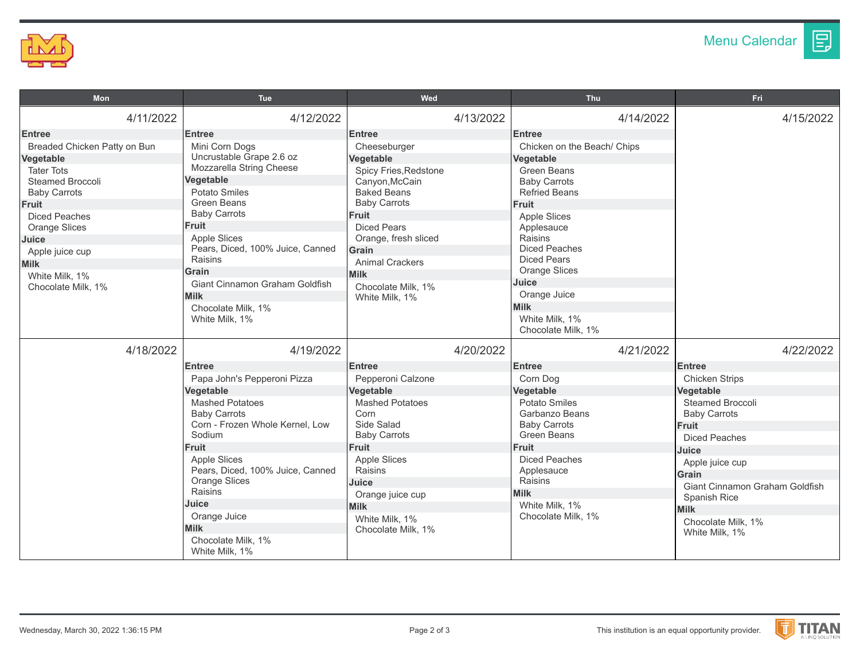

圓

| Mon                                                                                                                                                                                                                                                                    | <b>Tue</b>                                                                                                                                                                                                                                                                                                                                          | Wed                                                                                                                                                                                                                                                                                        | <b>Thu</b>                                                                                                                                                                                                                                                                                                                                    | <b>Fri</b>                                                                                                                                        |
|------------------------------------------------------------------------------------------------------------------------------------------------------------------------------------------------------------------------------------------------------------------------|-----------------------------------------------------------------------------------------------------------------------------------------------------------------------------------------------------------------------------------------------------------------------------------------------------------------------------------------------------|--------------------------------------------------------------------------------------------------------------------------------------------------------------------------------------------------------------------------------------------------------------------------------------------|-----------------------------------------------------------------------------------------------------------------------------------------------------------------------------------------------------------------------------------------------------------------------------------------------------------------------------------------------|---------------------------------------------------------------------------------------------------------------------------------------------------|
| 4/11/2022                                                                                                                                                                                                                                                              | 4/12/2022                                                                                                                                                                                                                                                                                                                                           | 4/13/2022                                                                                                                                                                                                                                                                                  | 4/14/2022                                                                                                                                                                                                                                                                                                                                     | 4/15/2022                                                                                                                                         |
| <b>Entree</b><br>Breaded Chicken Patty on Bun<br>Vegetable<br><b>Tater Tots</b><br>Steamed Broccoli<br><b>Baby Carrots</b><br>Fruit<br><b>Diced Peaches</b><br><b>Orange Slices</b><br>Juice<br>Apple juice cup<br><b>Milk</b><br>White Milk, 1%<br>Chocolate Milk. 1% | <b>Entree</b><br>Mini Corn Dogs<br>Uncrustable Grape 2.6 oz<br>Mozzarella String Cheese<br>Vegetable<br><b>Potato Smiles</b><br>Green Beans<br><b>Baby Carrots</b><br>Fruit<br><b>Apple Slices</b><br>Pears, Diced, 100% Juice, Canned<br>Raisins<br>Grain<br>Giant Cinnamon Graham Goldfish<br><b>Milk</b><br>Chocolate Milk, 1%<br>White Milk, 1% | <b>Entree</b><br>Cheeseburger<br>Vegetable<br>Spicy Fries, Redstone<br>Canyon, McCain<br><b>Baked Beans</b><br><b>Baby Carrots</b><br><b>Fruit</b><br><b>Diced Pears</b><br>Orange, fresh sliced<br>Grain<br><b>Animal Crackers</b><br><b>Milk</b><br>Chocolate Milk, 1%<br>White Milk, 1% | <b>Entree</b><br>Chicken on the Beach/ Chips<br>Vegetable<br><b>Green Beans</b><br><b>Baby Carrots</b><br><b>Refried Beans</b><br>Fruit<br><b>Apple Slices</b><br>Applesauce<br>Raisins<br><b>Diced Peaches</b><br><b>Diced Pears</b><br><b>Orange Slices</b><br>Juice<br>Orange Juice<br><b>Milk</b><br>White Milk, 1%<br>Chocolate Milk, 1% |                                                                                                                                                   |
| 4/18/2022                                                                                                                                                                                                                                                              | 4/19/2022<br><b>Entree</b><br>Papa John's Pepperoni Pizza<br>Vegetable<br><b>Mashed Potatoes</b><br><b>Baby Carrots</b><br>Corn - Frozen Whole Kernel, Low<br>Sodium                                                                                                                                                                                | 4/20/2022<br><b>Entree</b><br>Pepperoni Calzone<br>Vegetable<br><b>Mashed Potatoes</b><br>Corn<br>Side Salad<br><b>Baby Carrots</b>                                                                                                                                                        | 4/21/2022<br><b>Entree</b><br>Corn Dog<br>Vegetable<br><b>Potato Smiles</b><br>Garbanzo Beans<br><b>Baby Carrots</b><br><b>Green Beans</b>                                                                                                                                                                                                    | 4/22/2022<br><b>Entree</b><br><b>Chicken Strips</b><br>Vegetable<br>Steamed Broccoli<br><b>Baby Carrots</b><br>Fruit<br><b>Diced Peaches</b>      |
|                                                                                                                                                                                                                                                                        | <b>Fruit</b><br><b>Apple Slices</b><br>Pears, Diced, 100% Juice, Canned<br><b>Orange Slices</b><br>Raisins<br>Juice<br>Orange Juice<br><b>Milk</b><br>Chocolate Milk, 1%<br>White Milk, 1%                                                                                                                                                          | Fruit<br><b>Apple Slices</b><br>Raisins<br>Juice<br>Orange juice cup<br><b>Milk</b><br>White Milk, 1%<br>Chocolate Milk, 1%                                                                                                                                                                | Fruit<br><b>Diced Peaches</b><br>Applesauce<br>Raisins<br><b>Milk</b><br>White Milk, 1%<br>Chocolate Milk, 1%                                                                                                                                                                                                                                 | Juice<br>Apple juice cup<br><b>Grain</b><br>Giant Cinnamon Graham Goldfish<br>Spanish Rice<br><b>Milk</b><br>Chocolate Milk, 1%<br>White Milk, 1% |